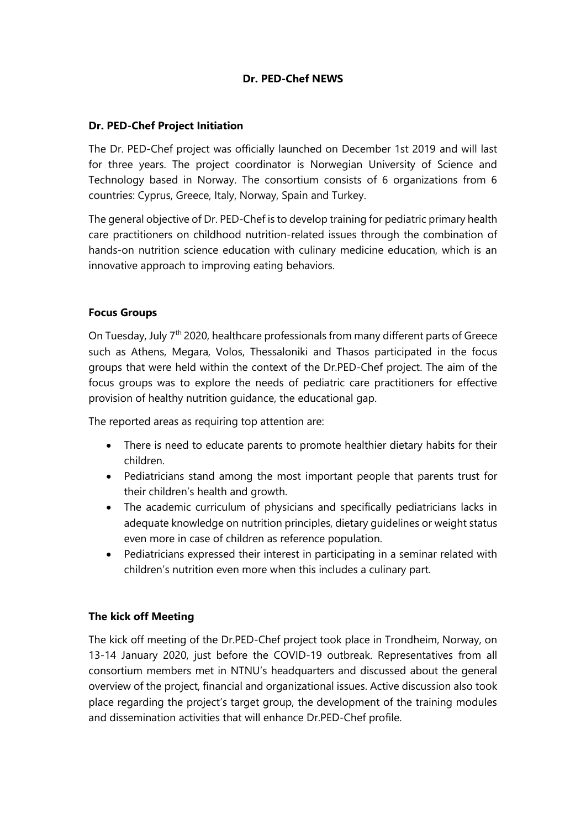# **Dr. PED-Chef NEWS**

### **Dr. PED-Chef Project Initiation**

The Dr. PED-Chef project was officially launched on December 1st 2019 and will last for three years. The project coordinator is Norwegian University of Science and Technology based in Norway. The consortium consists of 6 organizations from 6 countries: Cyprus, Greece, Italy, Norway, Spain and Turkey.

The general objective of Dr. PED-Chef is to develop training for pediatric primary health care practitioners on childhood nutrition-related issues through the combination of hands-on nutrition science education with culinary medicine education, which is an innovative approach to improving eating behaviors.

#### **Focus Groups**

On Tuesday, July 7<sup>th</sup> 2020, healthcare professionals from many different parts of Greece such as Athens, Megara, Volos, Thessaloniki and Thasos participated in the focus groups that were held within the context of the Dr.PED-Chef project. The aim of the focus groups was to explore the needs of pediatric care practitioners for effective provision of healthy nutrition guidance, the educational gap.

The reported areas as requiring top attention are:

- There is need to educate parents to promote healthier dietary habits for their children.
- Pediatricians stand among the most important people that parents trust for their children's health and growth.
- The academic curriculum of physicians and specifically pediatricians lacks in adequate knowledge on nutrition principles, dietary quidelines or weight status even more in case of children as reference population.
- Pediatricians expressed their interest in participating in a seminar related with children's nutrition even more when this includes a culinary part.

## **The kick off Meeting**

The kick off meeting of the Dr.PED-Chef project took place in Trondheim, Norway, on 13-14 January 2020, just before the COVID-19 outbreak. Representatives from all consortium members met in NTNU's headquarters and discussed about the general overview of the project, financial and organizational issues. Active discussion also took place regarding the project's target group, the development of the training modules and dissemination activities that will enhance Dr.PED-Chef profile.